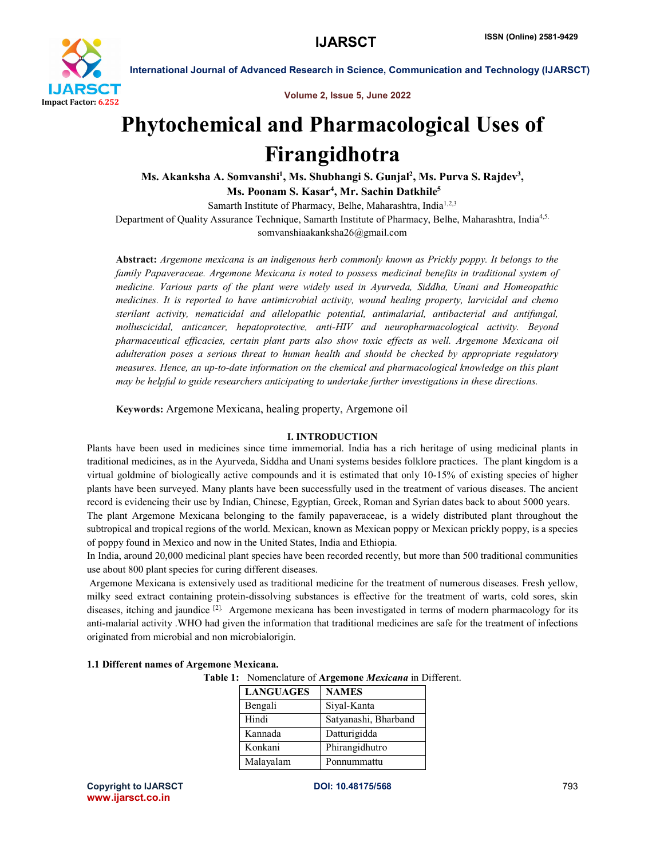

Volume 2, Issue 5, June 2022

# Phytochemical and Pharmacological Uses of Firangidhotra

Ms. Akanksha A. Somvanshi<sup>1</sup>, Ms. Shubhangi S. Gunjal<sup>2</sup>, Ms. Purva S. Rajdev<sup>3</sup>,

Ms. Poonam S. Kasar<sup>4</sup>, Mr. Sachin Datkhile<sup>5</sup>

Samarth Institute of Pharmacy, Belhe, Maharashtra, India<sup>1,2,3</sup>

Department of Quality Assurance Technique, Samarth Institute of Pharmacy, Belhe, Maharashtra, India<sup>4,5.</sup>

somvanshiaakanksha26@gmail.com

Abstract: *Argemone mexicana is an indigenous herb commonly known as Prickly poppy. It belongs to the family Papaveraceae. Argemone Mexicana is noted to possess medicinal benefits in traditional system of medicine. Various parts of the plant were widely used in Ayurveda, Siddha, Unani and Homeopathic medicines. It is reported to have antimicrobial activity, wound healing property, larvicidal and chemo sterilant activity, nematicidal and allelopathic potential, antimalarial, antibacterial and antifungal, molluscicidal, anticancer, hepatoprotective, anti-HIV and neuropharmacological activity. Beyond pharmaceutical efficacies, certain plant parts also show toxic effects as well. Argemone Mexicana oil adulteration poses a serious threat to human health and should be checked by appropriate regulatory measures. Hence, an up-to-date information on the chemical and pharmacological knowledge on this plant may be helpful to guide researchers anticipating to undertake further investigations in these directions.*

Keywords: Argemone Mexicana, healing property, Argemone oil

# I. INTRODUCTION

Plants have been used in medicines since time immemorial. India has a rich heritage of using medicinal plants in traditional medicines, as in the Ayurveda, Siddha and Unani systems besides folklore practices. The plant kingdom is a virtual goldmine of biologically active compounds and it is estimated that only 10-15% of existing species of higher plants have been surveyed. Many plants have been successfully used in the treatment of various diseases. The ancient record is evidencing their use by Indian, Chinese, Egyptian, Greek, Roman and Syrian dates back to about 5000 years. The plant Argemone Mexicana belonging to the family papaveraceae, is a widely distributed plant throughout the subtropical and tropical regions of the world. Mexican, known as Mexican poppy or Mexican prickly poppy, is a species of poppy found in Mexico and now in the United States, India and Ethiopia.

In India, around 20,000 medicinal plant species have been recorded recently, but more than 500 traditional communities use about 800 plant species for curing different diseases.

Argemone Mexicana is extensively used as traditional medicine for the treatment of numerous diseases. Fresh yellow, milky seed extract containing protein-dissolving substances is effective for the treatment of warts, cold sores, skin diseases, itching and jaundice <sup>[2].</sup> Argemone mexicana has been investigated in terms of modern pharmacology for its anti-malarial activity .WHO had given the information that traditional medicines are safe for the treatment of infections originated from microbial and non microbialorigin.

| 1.1 Different names of Argemone Mexicana. |                             |
|-------------------------------------------|-----------------------------|
|                                           | <b>Table 1:</b> Nomenclatur |

re of Argemone *Mexicana* in Different.

| <b>LANGUAGES</b> | <b>NAMES</b>         |
|------------------|----------------------|
| Bengali          | Siyal-Kanta          |
| Hindi            | Satyanashi, Bharband |
| Kannada          | Datturigidda         |
| Konkani          | Phirangidhutro       |
| Malayalam        | Ponnummattu          |

Copyright to IJARSCT DOI: 10.48175/568 793 www.ijarsct.co.in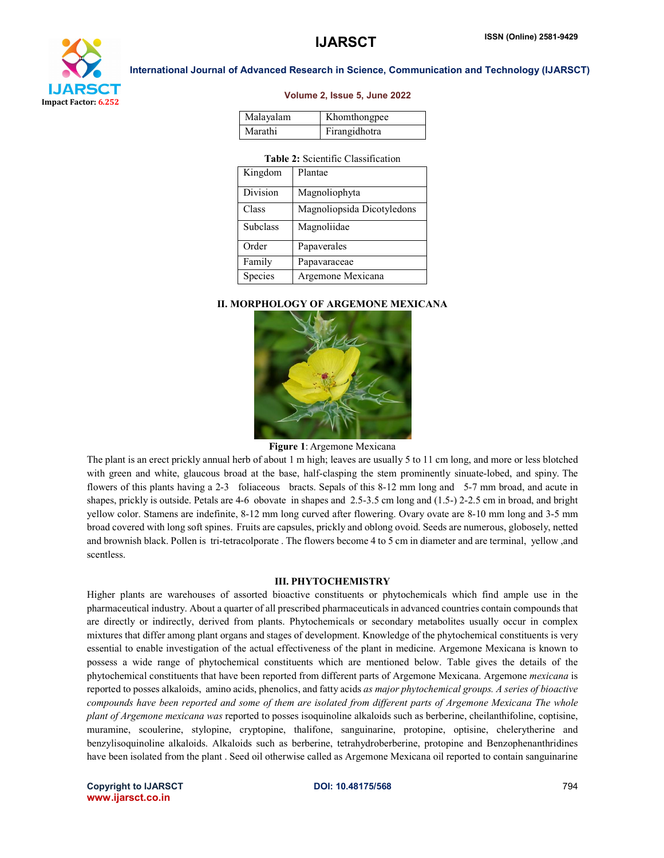

#### Volume 2, Issue 5, June 2022

| Malayalam | Khomthongpee  |
|-----------|---------------|
| Marathi   | Firangidhotra |

# Table 2: Scientific Classification

| Kingdom         | Plantae                    |
|-----------------|----------------------------|
| Division        | Magnoliophyta              |
| Class           | Magnoliopsida Dicotyledons |
| <b>Subclass</b> | Magnoliidae                |
| Order           | Papaverales                |
| Family          | Papavaraceae               |
| Species         | Argemone Mexicana          |

# II. MORPHOLOGY OF ARGEMONE MEXICANA



#### Figure 1: Argemone Mexicana

The plant is an erect prickly annual herb of about 1 m high; leaves are usually 5 to 11 cm long, and more or less blotched with green and white, glaucous broad at the base, half-clasping the stem prominently sinuate-lobed, and spiny. The flowers of this plants having a 2-3 foliaceous bracts. Sepals of this 8-12 mm long and 5-7 mm broad, and acute in shapes, prickly is outside. Petals are 4-6 obovate in shapes and 2.5-3.5 cm long and (1.5-) 2-2.5 cm in broad, and bright yellow color. Stamens are indefinite, 8-12 mm long curved after flowering. Ovary ovate are 8-10 mm long and 3-5 mm broad covered with long soft spines. Fruits are capsules, prickly and oblong ovoid. Seeds are numerous, globosely, netted and brownish black. Pollen is tri-tetracolporate . The flowers become 4 to 5 cm in diameter and are terminal, yellow ,and scentless.

### III. PHYTOCHEMISTRY

Higher plants are warehouses of assorted bioactive constituents or phytochemicals which find ample use in the pharmaceutical industry. About a quarter of all prescribed pharmaceuticals in advanced countries contain compounds that are directly or indirectly, derived from plants. Phytochemicals or secondary metabolites usually occur in complex mixtures that differ among plant organs and stages of development. Knowledge of the phytochemical constituents is very essential to enable investigation of the actual effectiveness of the plant in medicine. Argemone Mexicana is known to possess a wide range of phytochemical constituents which are mentioned below. Table gives the details of the phytochemical constituents that have been reported from different parts of Argemone Mexicana. Argemone *mexicana* is reported to posses alkaloids, amino acids, phenolics, and fatty acids *as major phytochemical groups. A series of bioactive compounds have been reported and some of them are isolated from different parts of Argemone Mexicana The whole plant of Argemone mexicana was* reported to posses isoquinoline alkaloids such as berberine, cheilanthifoline, coptisine, muramine, scoulerine, stylopine, cryptopine, thalifone, sanguinarine, protopine, optisine, chelerytherine and benzylisoquinoline alkaloids. Alkaloids such as berberine, tetrahydroberberine, protopine and Benzophenanthridines have been isolated from the plant . Seed oil otherwise called as Argemone Mexicana oil reported to contain sanguinarine

Copyright to IJARSCT DOI: 10.48175/568 794 www.ijarsct.co.in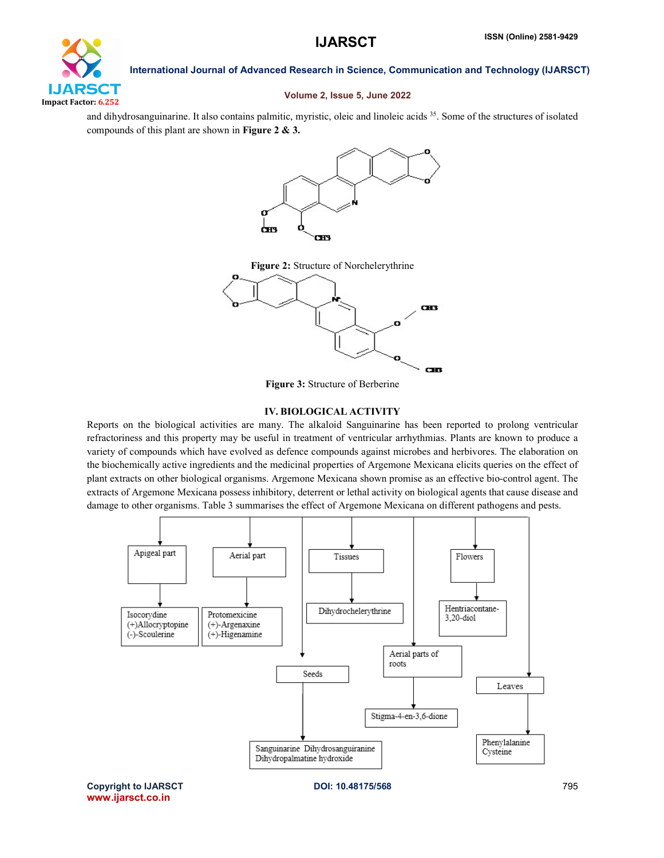

# Volume 2, Issue 5, June 2022

and dihydrosanguinarine. It also contains palmitic, myristic, oleic and linoleic acids 35. Some of the structures of isolated compounds of this plant are shown in Figure 2 & 3.



Figure 2: Structure of Norchelerythrine



Figure 3: Structure of Berberine

# IV. BIOLOGICAL ACTIVITY

Reports on the biological activities are many. The alkaloid Sanguinarine has been reported to prolong ventricular refractoriness and this property may be useful in treatment of ventricular arrhythmias. Plants are known to produce a variety of compounds which have evolved as defence compounds against microbes and herbivores. The elaboration on the biochemically active ingredients and the medicinal properties of Argemone Mexicana elicits queries on the effect of plant extracts on other biological organisms. Argemone Mexicana shown promise as an effective bio-control agent. The extracts of Argemone Mexicana possess inhibitory, deterrent or lethal activity on biological agents that cause disease and damage to other organisms. Table 3 summarises the effect of Argemone Mexicana on different pathogens and pests.



Copyright to IJARSCT DOI: 10.48175/568 795 www.ijarsct.co.in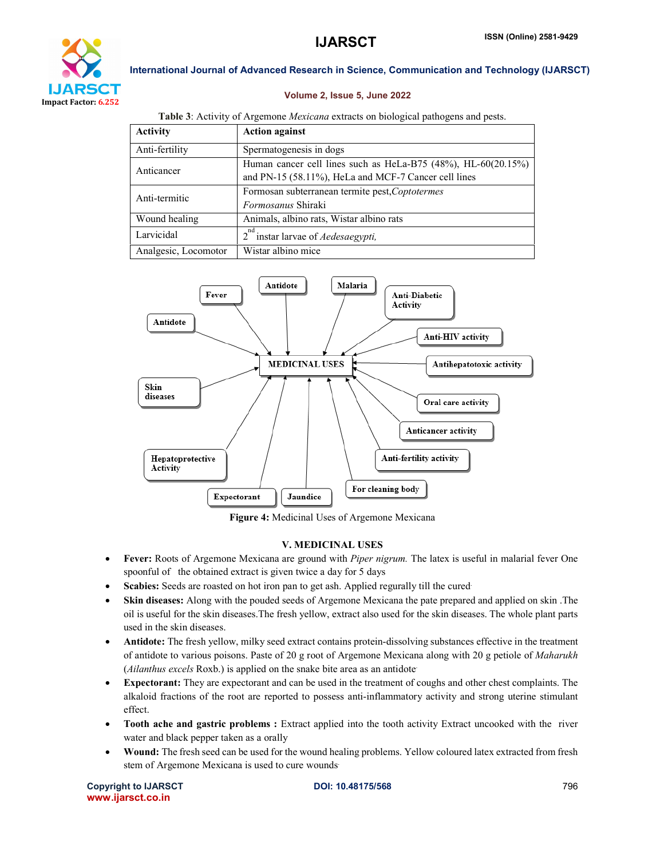

# Volume 2, Issue 5, June 2022

# Table 3: Activity of Argemone *Mexicana* extracts on biological pathogens and pests.

| <b>Activity</b>      | <b>Action against</b>                                         |
|----------------------|---------------------------------------------------------------|
| Anti-fertility       | Spermatogenesis in dogs                                       |
| Anticancer           | Human cancer cell lines such as HeLa-B75 (48%), HL-60(20.15%) |
|                      | and PN-15 (58.11%), HeLa and MCF-7 Cancer cell lines          |
| Anti-termitic        | Formosan subterranean termite pest, Coptotermes               |
|                      | <i>Formosanus</i> Shiraki                                     |
| Wound healing        | Animals, albino rats, Wistar albino rats                      |
| Larvicidal           | instar larvae of <i>Aedesaegypti</i> ,<br>$2^{\circ}$         |
| Analgesic, Locomotor | Wistar albino mice                                            |



Figure 4: Medicinal Uses of Argemone Mexicana

# V. MEDICINAL USES

- Fever: Roots of Argemone Mexicana are ground with *Piper nigrum.* The latex is useful in malarial fever One spoonful of the obtained extract is given twice a day for 5 days
- Scabies: Seeds are roasted on hot iron pan to get ash. Applied regurally till the cured
- Skin diseases: Along with the pouded seeds of Argemone Mexicana the pate prepared and applied on skin .The oil is useful for the skin diseases.The fresh yellow, extract also used for the skin diseases. The whole plant parts used in the skin diseases.
- Antidote: The fresh yellow, milky seed extract contains protein-dissolving substances effective in the treatment of antidote to various poisons. Paste of 20 g root of Argemone Mexicana along with 20 g petiole of *Maharukh*  (*Ailanthus excels* Roxb.) is applied on the snake bite area as an antidote.
- Expectorant: They are expectorant and can be used in the treatment of coughs and other chest complaints. The alkaloid fractions of the root are reported to possess anti-inflammatory activity and strong uterine stimulant effect.
- Tooth ache and gastric problems : Extract applied into the tooth activity Extract uncooked with the river water and black pepper taken as a orally
- Wound: The fresh seed can be used for the wound healing problems. Yellow coloured latex extracted from fresh stem of Argemone Mexicana is used to cure wounds.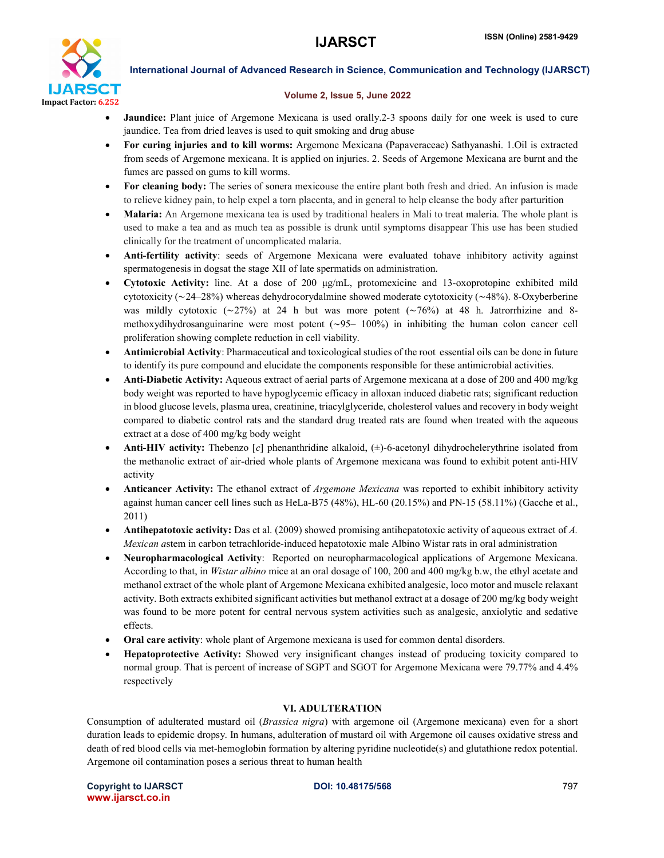

# Volume 2, Issue 5, June 2022

- Jaundice: Plant juice of Argemone Mexicana is used orally.2-3 spoons daily for one week is used to cure jaundice. Tea from dried leaves is used to quit smoking and drug abuse.
- For curing injuries and to kill worms: Argemone Mexicana (Papaveraceae) Sathyanashi. 1.Oil is extracted from seeds of Argemone mexicana. It is applied on injuries. 2. Seeds of Argemone Mexicana are burnt and the fumes are passed on gums to kill worms.
- For cleaning body: The series of sonera mexicouse the entire plant both fresh and dried. An infusion is made to relieve kidney pain, to help expel a torn placenta, and in general to help cleanse the body after parturition
- Malaria: An Argemone mexicana tea is used by traditional healers in Mali to treat maleria. The whole plant is used to make a tea and as much tea as possible is drunk until symptoms disappear This use has been studied clinically for the treatment of uncomplicated malaria.
- Anti-fertility activity: seeds of Argemone Mexicana were evaluated tohave inhibitory activity against spermatogenesis in dogsat the stage XII of late spermatids on administration.
- Cytotoxic Activity: line. At a dose of 200 μg/mL, protomexicine and 13-oxoprotopine exhibited mild cytotoxicity (∼24–28%) whereas dehydrocorydalmine showed moderate cytotoxicity (∼48%). 8-Oxyberberine was mildly cytotoxic (∼27%) at 24 h but was more potent (∼76%) at 48 h. Jatrorrhizine and 8 methoxydihydrosanguinarine were most potent (∼95– 100%) in inhibiting the human colon cancer cell proliferation showing complete reduction in cell viability.
- Antimicrobial Activity: Pharmaceutical and toxicological studies of the root essential oils can be done in future to identify its pure compound and elucidate the components responsible for these antimicrobial activities.
- Anti-Diabetic Activity: Aqueous extract of aerial parts of Argemone mexicana at a dose of 200 and 400 mg/kg body weight was reported to have hypoglycemic efficacy in alloxan induced diabetic rats; significant reduction in blood glucose levels, plasma urea, creatinine, triacylglyceride, cholesterol values and recovery in body weight compared to diabetic control rats and the standard drug treated rats are found when treated with the aqueous extract at a dose of 400 mg/kg body weight
- Anti-HIV activity: Thebenzo [*c*] phenanthridine alkaloid, (±)-6-acetonyl dihydrochelerythrine isolated from the methanolic extract of air-dried whole plants of Argemone mexicana was found to exhibit potent anti-HIV activity
- Anticancer Activity: The ethanol extract of *Argemone Mexicana* was reported to exhibit inhibitory activity against human cancer cell lines such as HeLa-B75 (48%), HL-60 (20.15%) and PN-15 (58.11%) (Gacche et al., 2011)
- Antihepatotoxic activity: Das et al. (2009) showed promising antihepatotoxic activity of aqueous extract of *A. Mexican a*stem in carbon tetrachloride-induced hepatotoxic male Albino Wistar rats in oral administration
- Neuropharmacological Activity: Reported on neuropharmacological applications of Argemone Mexicana. According to that, in *Wistar albino* mice at an oral dosage of 100, 200 and 400 mg/kg b.w, the ethyl acetate and methanol extract of the whole plant of Argemone Mexicana exhibited analgesic, loco motor and muscle relaxant activity. Both extracts exhibited significant activities but methanol extract at a dosage of 200 mg/kg body weight was found to be more potent for central nervous system activities such as analgesic, anxiolytic and sedative effects.
- Oral care activity: whole plant of Argemone mexicana is used for common dental disorders.
- Hepatoprotective Activity: Showed very insignificant changes instead of producing toxicity compared to normal group. That is percent of increase of SGPT and SGOT for Argemone Mexicana were 79.77% and 4.4% respectively

# VI. ADULTERATION

Consumption of adulterated mustard oil (*Brassica nigra*) with argemone oil (Argemone mexicana) even for a short duration leads to epidemic dropsy. In humans, adulteration of mustard oil with Argemone oil causes oxidative stress and death of red blood cells via met-hemoglobin formation by altering pyridine nucleotide(s) and glutathione redox potential. Argemone oil contamination poses a serious threat to human health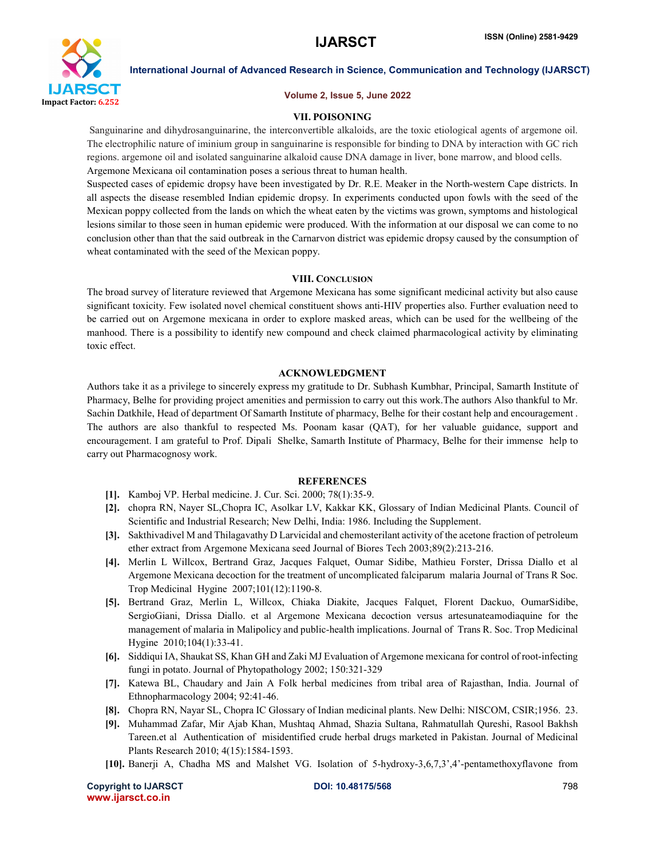

#### Volume 2, Issue 5, June 2022

# VII. POISONING

Sanguinarine and dihydrosanguinarine, the interconvertible alkaloids, are the toxic etiological agents of argemone oil. The electrophilic nature of iminium group in sanguinarine is responsible for binding to DNA by interaction with GC rich regions. argemone oil and isolated sanguinarine alkaloid cause DNA damage in liver, bone marrow, and blood cells. Argemone Mexicana oil contamination poses a serious threat to human health.

Suspected cases of epidemic dropsy have been investigated by Dr. R.E. Meaker in the North-western Cape districts. In all aspects the disease resembled Indian epidemic dropsy. In experiments conducted upon fowls with the seed of the Mexican poppy collected from the lands on which the wheat eaten by the victims was grown, symptoms and histological lesions similar to those seen in human epidemic were produced. With the information at our disposal we can come to no conclusion other than that the said outbreak in the Carnarvon district was epidemic dropsy caused by the consumption of wheat contaminated with the seed of the Mexican poppy.

### VIII. CONCLUSION

The broad survey of literature reviewed that Argemone Mexicana has some significant medicinal activity but also cause significant toxicity. Few isolated novel chemical constituent shows anti-HIV properties also. Further evaluation need to be carried out on Argemone mexicana in order to explore masked areas, which can be used for the wellbeing of the manhood. There is a possibility to identify new compound and check claimed pharmacological activity by eliminating toxic effect.

### ACKNOWLEDGMENT

Authors take it as a privilege to sincerely express my gratitude to Dr. Subhash Kumbhar, Principal, Samarth Institute of Pharmacy, Belhe for providing project amenities and permission to carry out this work.The authors Also thankful to Mr. Sachin Datkhile, Head of department Of Samarth Institute of pharmacy, Belhe for their costant help and encouragement . The authors are also thankful to respected Ms. Poonam kasar (QAT), for her valuable guidance, support and encouragement. I am grateful to Prof. Dipali Shelke, Samarth Institute of Pharmacy, Belhe for their immense help to carry out Pharmacognosy work.

# **REFERENCES**

- [1]. Kamboj VP. Herbal medicine. J. Cur. Sci. 2000; 78(1):35-9.
- [2]. chopra RN, Nayer SL,Chopra IC, Asolkar LV, Kakkar KK, Glossary of Indian Medicinal Plants. Council of Scientific and Industrial Research; New Delhi, India: 1986. Including the Supplement.
- [3]. Sakthivadivel M and Thilagavathy D Larvicidal and chemosterilant activity of the acetone fraction of petroleum ether extract from Argemone Mexicana seed Journal of Biores Tech 2003;89(2):213-216.
- [4]. Merlin L Willcox, Bertrand Graz, Jacques Falquet, Oumar Sidibe, Mathieu Forster, Drissa Diallo et al Argemone Mexicana decoction for the treatment of uncomplicated falciparum malaria Journal of Trans R Soc. Trop Medicinal Hygine 2007;101(12):1190-8.
- [5]. Bertrand Graz, Merlin L, Willcox, Chiaka Diakite, Jacques Falquet, Florent Dackuo, OumarSidibe, SergioGiani, Drissa Diallo. et al Argemone Mexicana decoction versus artesunateamodiaquine for the management of malaria in Malipolicy and public-health implications. Journal of Trans R. Soc. Trop Medicinal Hygine 2010;104(1):33-41.
- [6]. Siddiqui IA, Shaukat SS, Khan GH and Zaki MJ Evaluation of Argemone mexicana for control of root-infecting fungi in potato. Journal of Phytopathology 2002; 150:321-329
- [7]. Katewa BL, Chaudary and Jain A Folk herbal medicines from tribal area of Rajasthan, India. Journal of Ethnopharmacology 2004; 92:41-46.
- [8]. Chopra RN, Nayar SL, Chopra IC Glossary of Indian medicinal plants. New Delhi: NISCOM, CSIR;1956. 23.
- [9]. Muhammad Zafar, Mir Ajab Khan, Mushtaq Ahmad, Shazia Sultana, Rahmatullah Qureshi, Rasool Bakhsh Tareen.et al Authentication of misidentified crude herbal drugs marketed in Pakistan. Journal of Medicinal Plants Research 2010; 4(15):1584-1593.
- [10]. Banerji A, Chadha MS and Malshet VG. Isolation of 5-hydroxy-3,6,7,3',4'-pentamethoxyflavone from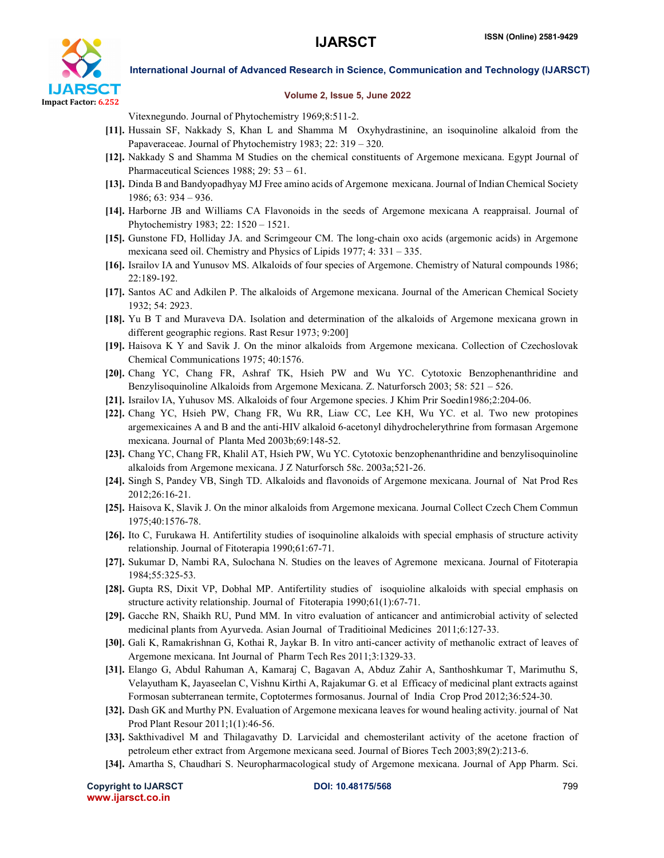

### Volume 2, Issue 5, June 2022

Vitexnegundo. Journal of Phytochemistry 1969;8:511-2.

- [11]. Hussain SF, Nakkady S, Khan L and Shamma M Oxyhydrastinine, an isoquinoline alkaloid from the Papaveraceae. Journal of Phytochemistry 1983; 22: 319 – 320.
- [12]. Nakkady S and Shamma M Studies on the chemical constituents of Argemone mexicana. Egypt Journal of Pharmaceutical Sciences 1988; 29: 53 – 61.
- [13]. Dinda B and Bandyopadhyay MJ Free amino acids of Argemone mexicana. Journal of Indian Chemical Society 1986; 63: 934 – 936.
- [14]. Harborne JB and Williams CA Flavonoids in the seeds of Argemone mexicana A reappraisal. Journal of Phytochemistry 1983; 22: 1520 – 1521.
- [15]. Gunstone FD, Holliday JA. and Scrimgeour CM. The long-chain oxo acids (argemonic acids) in Argemone mexicana seed oil. Chemistry and Physics of Lipids 1977; 4: 331 – 335.
- [16]. Israilov IA and Yunusov MS. Alkaloids of four species of Argemone. Chemistry of Natural compounds 1986; 22:189-192.
- [17]. Santos AC and Adkilen P. The alkaloids of Argemone mexicana. Journal of the American Chemical Society 1932; 54: 2923.
- [18]. Yu B T and Muraveva DA. Isolation and determination of the alkaloids of Argemone mexicana grown in different geographic regions. Rast Resur 1973; 9:200]
- [19]. Haisova K Y and Savik J. On the minor alkaloids from Argemone mexicana. Collection of Czechoslovak Chemical Communications 1975; 40:1576.
- [20]. Chang YC, Chang FR, Ashraf TK, Hsieh PW and Wu YC. Cytotoxic Benzophenanthridine and Benzylisoquinoline Alkaloids from Argemone Mexicana. Z. Naturforsch 2003; 58: 521 – 526.
- [21]. Israilov IA, Yuhusov MS. Alkaloids of four Argemone species. J Khim Prir Soedin1986;2:204-06.
- [22]. Chang YC, Hsieh PW, Chang FR, Wu RR, Liaw CC, Lee KH, Wu YC. et al. Two new protopines argemexicaines A and B and the anti-HIV alkaloid 6-acetonyl dihydrochelerythrine from formasan Argemone mexicana. Journal of Planta Med 2003b;69:148-52.
- [23]. Chang YC, Chang FR, Khalil AT, Hsieh PW, Wu YC. Cytotoxic benzophenanthridine and benzylisoquinoline alkaloids from Argemone mexicana. J Z Naturforsch 58c. 2003a;521-26.
- [24]. Singh S, Pandey VB, Singh TD. Alkaloids and flavonoids of Argemone mexicana. Journal of Nat Prod Res 2012;26:16-21.
- [25]. Haisova K, Slavik J. On the minor alkaloids from Argemone mexicana. Journal Collect Czech Chem Commun 1975;40:1576-78.
- [26]. Ito C, Furukawa H. Antifertility studies of isoquinoline alkaloids with special emphasis of structure activity relationship. Journal of Fitoterapia 1990;61:67-71.
- [27]. Sukumar D, Nambi RA, Sulochana N. Studies on the leaves of Agremone mexicana. Journal of Fitoterapia 1984;55:325-53.
- [28]. Gupta RS, Dixit VP, Dobhal MP. Antifertility studies of isoquioline alkaloids with special emphasis on structure activity relationship. Journal of Fitoterapia 1990;61(1):67-71.
- [29]. Gacche RN, Shaikh RU, Pund MM. In vitro evaluation of anticancer and antimicrobial activity of selected medicinal plants from Ayurveda. Asian Journal of Traditioinal Medicines 2011;6:127-33.
- [30]. Gali K, Ramakrishnan G, Kothai R, Jaykar B. In vitro anti-cancer activity of methanolic extract of leaves of Argemone mexicana. Int Journal of Pharm Tech Res 2011;3:1329-33.
- [31]. Elango G, Abdul Rahuman A, Kamaraj C, Bagavan A, Abduz Zahir A, Santhoshkumar T, Marimuthu S, Velayutham K, Jayaseelan C, Vishnu Kirthi A, Rajakumar G. et al Efficacy of medicinal plant extracts against Formosan subterranean termite, Coptotermes formosanus. Journal of India Crop Prod 2012;36:524-30.
- [32]. Dash GK and Murthy PN. Evaluation of Argemone mexicana leaves for wound healing activity. journal of Nat Prod Plant Resour 2011;1(1):46-56.
- [33]. Sakthivadivel M and Thilagavathy D. Larvicidal and chemosterilant activity of the acetone fraction of petroleum ether extract from Argemone mexicana seed. Journal of Biores Tech 2003;89(2):213-6.
- [34]. Amartha S, Chaudhari S. Neuropharmacological study of Argemone mexicana. Journal of App Pharm. Sci.